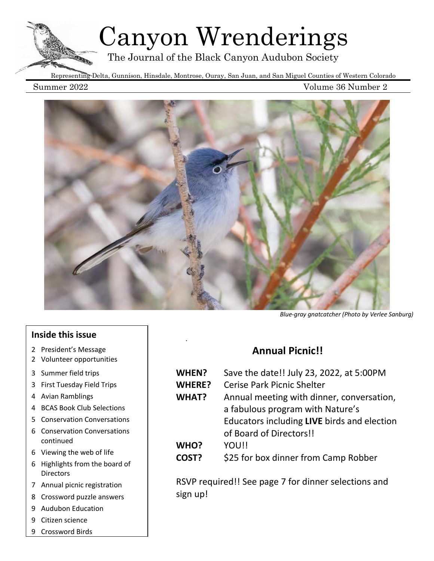# Canyon Wrenderings

The Journal of the Black Canyon Audubon Society

Representing Delta, Gunnison, Hinsdale, Montrose, Ouray, San Juan, and San Miguel Counties of Western Colorado

Summer 2022 Volume 36 Number 2



.

# **Inside this issue**

- 2 President's Message
- 2 Volunteer opportunities
- 3 Summer field trips
- 3 First Tuesday Field Trips
- 4 Avian Ramblings
- 4 BCAS Book Club Selections
- 5 Conservation Conversations
- 6 Conservation Conversations continued
- 6 Viewing the web of life
- 6 Highlights from the board of **Directors**
- 7 Annual picnic registration
- 8 Crossword puzzle answers
- 9 Audubon Education
- 9 Citizen science
- 9 Crossword Birds

### *Blue-gray gnatcatcher (Photo by Verlee Sanburg)*

# **Annual Picnic!!**

| WHEN?         | Save the date!! July 23, 2022, at 5:00PM    |  |  |  |
|---------------|---------------------------------------------|--|--|--|
| <b>WHERE?</b> | <b>Cerise Park Picnic Shelter</b>           |  |  |  |
| <b>WHAT?</b>  | Annual meeting with dinner, conversation,   |  |  |  |
|               | a fabulous program with Nature's            |  |  |  |
|               | Educators including LIVE birds and election |  |  |  |
|               | of Board of Directors!!                     |  |  |  |
| WHO?          | YOU!!                                       |  |  |  |
| COST?         | \$25 for box dinner from Camp Robber        |  |  |  |

RSVP required!! See page 7 for dinner selections and sign up!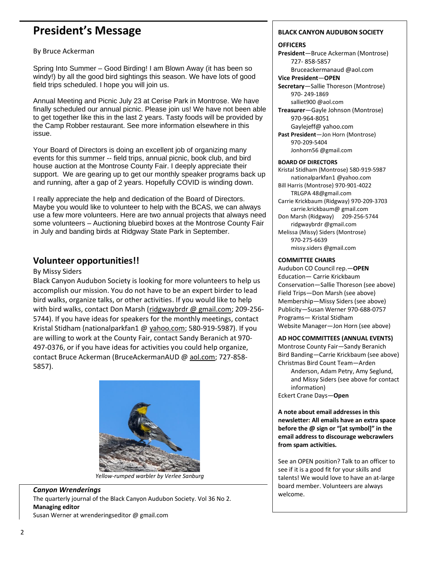# **President's Message**

By Bruce Ackerman

Spring Into Summer – Good Birding! I am Blown Away (it has been so windy!) by all the good bird sightings this season. We have lots of good field trips scheduled. I hope you will join us.

Annual Meeting and Picnic July 23 at Cerise Park in Montrose. We have finally scheduled our annual picnic. Please join us! We have not been able to get together like this in the last 2 years. Tasty foods will be provided by the Camp Robber restaurant. See more information elsewhere in this issue.

Your Board of Directors is doing an excellent job of organizing many events for this summer -- field trips, annual picnic, book club, and bird house auction at the Montrose County Fair. I deeply appreciate their support. We are gearing up to get our monthly speaker programs back up and running, after a gap of 2 years. Hopefully COVID is winding down.

I really appreciate the help and dedication of the Board of Directors. Maybe you would like to volunteer to help with the BCAS, we can always use a few more volunteers. Here are two annual projects that always need some volunteers – Auctioning bluebird boxes at the Montrose County Fair in July and banding birds at Ridgway State Park in September.

# **Volunteer opportunities!!**

#### By Missy Siders

Black Canyon Audubon Society is looking for more volunteers to help us accomplish our mission. You do not have to be an expert birder to lead bird walks, organize talks, or other activities. If you would like to help with bird walks, contact Don Marsh (ridgwaybrdr @ gmail.com; 209-256- 5744). If you have ideas for speakers for the monthly meetings, contact Kristal Stidham (nationalparkfan1 @ [yahoo.com;](http://yahoo.com/) 580-919-5987). If you are willing to work at the County Fair, contact Sandy Beranich at 970- 497-0376, or if you have ideas for activities you could help organize, contact Bruce Ackerman (BruceAckermanAUD @ [aol.com;](http://aol.com/) 727-858- 5857).



#### *Yellow-rumped warbler by Verlee Sanburg*

# *Canyon Wrenderings*

The quarterly journal of the Black Canyon Audubon Society. Vol 36 No 2. **Managing editor**

Susan Werner at wrenderingseditor @ gmail.com

#### **BLACK CANYON AUDUBON SOCIETY**

#### **OFFICERS**

**President**—Bruce Ackerman (Montrose) 727- 858-5857

Bruceackermanaud @aol.com **Vice President**—**OPEN**

**Secretary**—Sallie Thoreson (Montrose) 970- 249-1869 salliet900 @aol.com

**Treasurer**—Gayle Johnson (Montrose) 970-964-8051 Gaylejeff@ yahoo.com **Past President**—Jon Horn (Montrose) 970-209-5404

Jonhorn56 @gmail.com

#### **BOARD OF DIRECTORS**

Kristal Stidham (Montrose) 580-919-5987 nationalparkfan1 @yahoo.com Bill Harris (Montrose) 970-901-4022 TRLGPA 48@gmail.com Carrie Krickbaum (Ridgway) 970-209-3703 carrie.krickbaum@ gmail.com Don Marsh (Ridgway) 209-256-5744 ridgwaybrdr @gmail.com Melissa (Missy) Siders (Montrose) 970-275-6639 missy.siders @gmail.com

#### **COMMITTEE CHAIRS**

Audubon CO Council rep.—**OPEN** Education— Carrie Krickbaum Conservation—Sallie Thoreson (see above) Field Trips—Don Marsh (see above) Membership—Missy Siders (see above) Publicity—Susan Werner 970-688-0757 Programs— Kristal Stidham Website Manager—Jon Horn (see above)

#### **AD HOC COMMITTEES (ANNUAL EVENTS)**

Montrose County Fair—Sandy Beranich Bird Banding—Carrie Krickbaum (see above) Christmas Bird Count Team—Arden

Anderson, Adam Petry, Amy Seglund, and Missy Siders (see above for contact information)

Eckert Crane Days—**Open**

**A note about email addresses in this newsletter: All emails have an extra space before the @ sign or "[at symbol]" in the email address to discourage webcrawlers from spam activities.**

See an OPEN position? Talk to an officer to see if it is a good fit for your skills and talents! We would love to have an at-large board member. Volunteers are always welcome.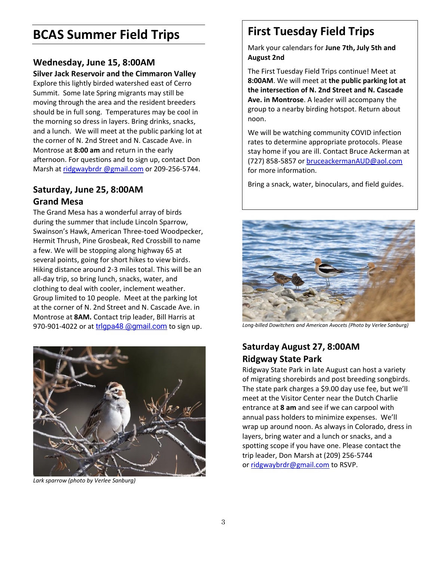# **BCAS Summer Field Trips**

# **Wednesday, June 15, 8:00AM**

### **Silver Jack Reservoir and the Cimmaron Valley**

Explore this lightly birded watershed east of Cerro Summit. Some late Spring migrants may still be moving through the area and the resident breeders should be in full song. Temperatures may be cool in the morning so dress in layers. Bring drinks, snacks, and a lunch. We will meet at the public parking lot at the corner of N. 2nd Street and N. Cascade Ave. in Montrose at **8:00 am** and return in the early afternoon. For questions and to sign up, contact Don Marsh at [ridgwaybrdr](mailto:ridgwaybrdr@gmail.com) @gmail.com or 209-256-5744.

# **Saturday, June 25, 8:00AM Grand Mesa**

The Grand Mesa has a wonderful array of birds during the summer that include Lincoln Sparrow, Swainson's Hawk, American Three-toed Woodpecker, Hermit Thrush, Pine Grosbeak, Red Crossbill to name a few. We will be stopping along highway 65 at several points, going for short hikes to view birds. Hiking distance around 2-3 miles total. This will be an all-day trip, so bring lunch, snacks, water, and clothing to deal with cooler, inclement weather. Group limited to 10 people. Meet at the parking lot at the corner of N. 2nd Street and N. Cascade Ave. in Montrose at **8AM.** Contact trip leader, Bill Harris at 970-901-4022 or at trigpa48 [@gmail.com](mailto:trlgpa48@gmail.com) to sign up.



*Lark sparrow (photo by Verlee Sanburg)*

# **First Tuesday Field Trips**

Mark your calendars for **June 7th, July 5th and August 2nd**

The First Tuesday Field Trips continue! Meet at **8:00AM**. We will meet at **the public parking lot at the intersection of N. 2nd Street and N. Cascade Ave. in Montrose**. A leader will accompany the group to a nearby birding hotspot. Return about noon.

We will be watching community COVID infection rates to determine appropriate protocols. Please stay home if you are ill. Contact Bruce Ackerman at (727) 858-5857 o[r bruceackermanAUD@aol.com](mailto:bruceackermanAUD@aol.com) for more information.

Bring a snack, water, binoculars, and field guides.



*Long-billed Dowitchers and American Avocets (Photo by Verlee Sanburg)*

# **Saturday August 27, 8:00AM Ridgway State Park**

Ridgway State Park in late August can host a variety of migrating shorebirds and post breeding songbirds. The state park charges a \$9.00 day use fee, but we'll meet at the Visitor Center near the Dutch Charlie entrance at **8 am** and see if we can carpool with annual pass holders to minimize expenses. We'll wrap up around noon. As always in Colorado, dress in layers, bring water and a lunch or snacks, and a spotting scope if you have one. Please contact the trip leader, Don Marsh at (209) 256-5744 or [ridgwaybrdr@gmail.com](mailto:ridgwaybrdr@gmail.com) to RSVP.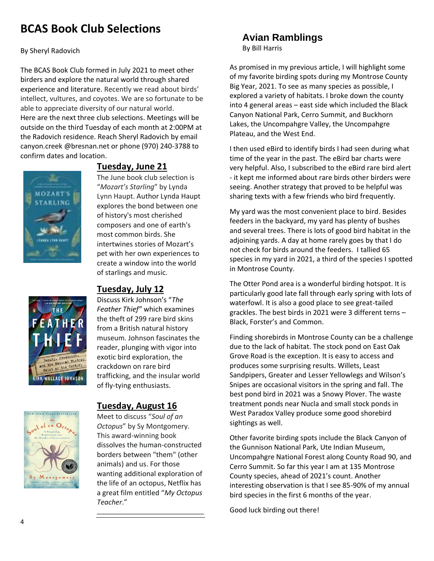# **BCAS Book Club Selections**

By Sheryl Radovich

The BCAS Book Club formed in July 2021 to meet other birders and explore the natural world through shared experience and literature. Recently we read about birds' intellect, vultures, and coyotes. We are so fortunate to be able to appreciate diversity of our natural world. Here are the next three club selections. Meetings will be outside on the third Tuesday of each month at 2:00PM at the Radovich residence. Reach Sheryl Radovich by email canyon.creek [@bresnan.net](mailto:canyon.creek@bresnan.net) or phone (970) 240-3788 to confirm dates and location.





## **Tuesday, June 21**

The June book club selection is "*Mozart's Starling*" by Lynda Lynn Haupt. Author Lynda Haupt explores the bond between one of history's most cherished composers and one of earth's most common birds. She intertwines stories of Mozart's pet with her own experiences to create a window into the world of starlings and music.

# **Tuesday, July 12**

Discuss Kirk Johnson's "*The Feather Thief"* which examines the theft of 299 rare bird skins from a British natural history museum. Johnson fascinates the reader, plunging with vigor into exotic bird exploration, the crackdown on rare bird trafficking, and the insular world of fly-tying enthusiasts.



### **Tuesday, August 16**

Meet to discuss "*Soul of an Octopus*" by Sy Montgomery. This award-winning book dissolves the human-constructed borders between "them" (other animals) and us. For those wanting additional exploration of the life of an octopus, Netflix has a great film entitled "*My Octopus Teacher*."

# **Avian Ramblings**

By Bill Harris

As promised in my previous article, I will highlight some of my favorite birding spots during my Montrose County Big Year, 2021. To see as many species as possible, I explored a variety of habitats. I broke down the county into 4 general areas – east side which included the Black Canyon National Park, Cerro Summit, and Buckhorn Lakes, the Uncompahgre Valley, the Uncompahgre Plateau, and the West End.

I then used eBird to identify birds I had seen during what time of the year in the past. The eBird bar charts were very helpful. Also, I subscribed to the eBird rare bird alert - it kept me informed about rare birds other birders were seeing. Another strategy that proved to be helpful was sharing texts with a few friends who bird frequently.

My yard was the most convenient place to bird. Besides feeders in the backyard, my yard has plenty of bushes and several trees. There is lots of good bird habitat in the adjoining yards. A day at home rarely goes by that I do not check for birds around the feeders. I tallied 65 species in my yard in 2021, a third of the species I spotted in Montrose County.

The Otter Pond area is a wonderful birding hotspot. It is particularly good late fall through early spring with lots of waterfowl. It is also a good place to see great-tailed grackles. The best birds in 2021 were 3 different terns – Black, Forster's and Common.

Finding shorebirds in Montrose County can be a challenge due to the lack of habitat. The stock pond on East Oak Grove Road is the exception. It is easy to access and produces some surprising results. Willets, Least Sandpipers, Greater and Lesser Yellowlegs and Wilson's Snipes are occasional visitors in the spring and fall. The best pond bird in 2021 was a Snowy Plover. The waste treatment ponds near Nucla and small stock ponds in West Paradox Valley produce some good shorebird sightings as well.

Other favorite birding spots include the Black Canyon of the Gunnison National Park, Ute Indian Museum, Uncompahgre National Forest along County Road 90, and Cerro Summit. So far this year I am at 135 Montrose County species, ahead of 2021's count. Another interesting observation is that I see 85-90% of my annual bird species in the first 6 months of the year.

Good luck birding out there!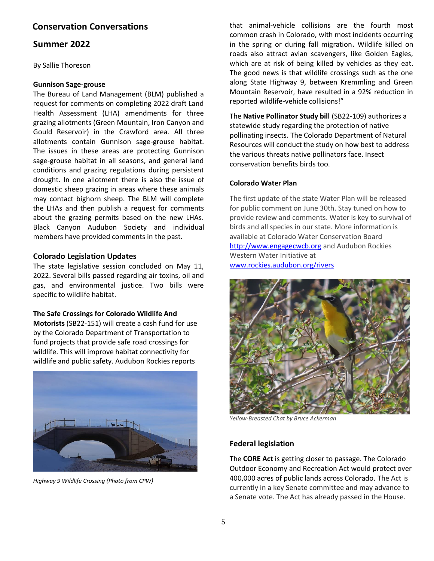### **Conservation Conversations**

#### **Summer 2022**

By Sallie Thoreson

#### **Gunnison Sage-grouse**

The Bureau of Land Management (BLM) published a request for comments on completing 2022 draft Land Health Assessment (LHA) amendments for three grazing allotments (Green Mountain, Iron Canyon and Gould Reservoir) in the Crawford area. All three allotments contain Gunnison sage-grouse habitat. The issues in these areas are protecting Gunnison sage-grouse habitat in all seasons, and general land conditions and grazing regulations during persistent drought. In one allotment there is also the issue of domestic sheep grazing in areas where these animals may contact bighorn sheep. The BLM will complete the LHAs and then publish a request for comments about the grazing permits based on the new LHAs. Black Canyon Audubon Society and individual members have provided comments in the past.

#### **Colorado Legislation Updates**

The state legislative session concluded on May 11, 2022. Several bills passed regarding air toxins, oil and gas, and environmental justice. Two bills were specific to wildlife habitat.

#### **The Safe Crossings for Colorado Wildlife And**

**Motorists** (SB22-151) will create a cash fund for use by the Colorado Department of Transportation to fund projects that provide safe road crossings for wildlife. This will improve habitat connectivity for wildlife and public safety. Audubon Rockies reports



*Highway 9 Wildlife Crossing (Photo from CPW)*

that animal-vehicle collisions are the fourth most common crash in Colorado, with most incidents occurring in the spring or during fall migration**.** Wildlife killed on roads also attract avian scavengers, like Golden Eagles, which are at risk of being killed by vehicles as they eat. The good news is that wildlife crossings such as the one along State Highway 9, between Kremmling and Green Mountain Reservoir, have resulted in a 92% reduction in reported wildlife-vehicle collisions!"

The **Native Pollinator Study bill** (SB22-109) authorizes a statewide study regarding the protection of native pollinating insects. The Colorado Department of Natural Resources will conduct the study on how best to address the various threats native pollinators face. Insect conservation benefits birds too.

#### **Colorado Water Plan**

The first update of the state Water Plan will be released for public comment on June 30th. Stay tuned on how to provide review and comments. Water is key to survival of birds and all species in our state. More information is available at Colorado Water Conservation Board [http://www.engagecwcb.org](http://www.engagecwcb.org/) and Audubon Rockies Western Water Initiative at [www.rockies.audubon.org/rivers](http://www.rockies.audubon.org/rivers)



*Yellow-Breasted Chat by Bruce Ackerman*

#### **Federal legislation**

The **CORE Act** is getting closer to passage. The Colorado Outdoor Economy and Recreation Act would protect over 400,000 acres of public lands across Colorado. The Act is currently in a key Senate committee and may advance to a Senate vote. The Act has already passed in the House.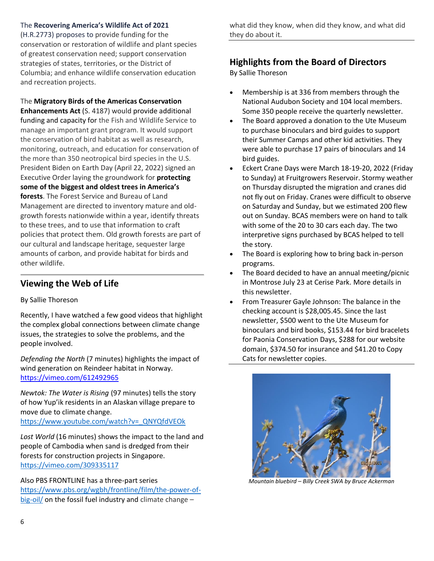#### The **Recovering America's Wildlife Act of 2021**

(H.R.2773) proposes to provide funding for the conservation or restoration of wildlife and plant species of greatest conservation need; support conservation strategies of states, territories, or the District of Columbia; and enhance wildlife conservation education and recreation projects.

The **Migratory Birds of the Americas Conservation Enhancements Act** (S. 4187) would provide additional funding and capacity for the Fish and Wildlife Service to manage an important grant program. It would support the conservation of bird habitat as well as research, monitoring, outreach, and education for conservation of the more than 350 neotropical bird species in the U.S. President Biden on Earth Day (April 22, 2022) signed an Executive Order laying the groundwork for **protecting some of the biggest and oldest trees in America's forests**. The Forest Service and Bureau of Land Management are directed to inventory mature and oldgrowth forests nationwide within a year, identify threats to these trees, and to use that information to craft policies that protect them. Old growth forests are part of our cultural and landscape heritage, sequester large amounts of carbon, and provide habitat for birds and other wildlife.

# **Viewing the Web of Life**

### By Sallie Thoreson

Recently, I have watched a few good videos that highlight the complex global connections between climate change issues, the strategies to solve the problems, and the people involved.

*Defending the North* (7 minutes) highlights the impact of wind generation on Reindeer habitat in Norway. <https://vimeo.com/612492965>

*Newtok: The Water is Rising* (97 minutes) tells the story of how Yup'ik residents in an Alaskan village prepare to move due to climate change.

[https://www.youtube.com/watch?v=\\_QNYQfdVEOk](https://www.youtube.com/watch?v=_QNYQfdVEOk)

*Lost World* (16 minutes) shows the impact to the land and people of Cambodia when sand is dredged from their forests for construction projects in Singapore. <https://vimeo.com/309335117>

Also PBS FRONTLINE has a three-part series [https://www.pbs.org/wgbh/frontline/film/the-power-of](https://www.pbs.org/wgbh/frontline/film/the-power-of-big-oil/)[big-oil/](https://www.pbs.org/wgbh/frontline/film/the-power-of-big-oil/) on the fossil fuel industry and climate change -

what did they know, when did they know, and what did they do about it.

# **Highlights from the Board of Directors**

By Sallie Thoreson

- Membership is at 336 from members through the National Audubon Society and 104 local members. Some 350 people receive the quarterly newsletter.
- The Board approved a donation to the Ute Museum to purchase binoculars and bird guides to support their Summer Camps and other kid activities. They were able to purchase 17 pairs of binoculars and 14 bird guides.
- Eckert Crane Days were March 18-19-20, 2022 (Friday to Sunday) at Fruitgrowers Reservoir. Stormy weather on Thursday disrupted the migration and cranes did not fly out on Friday. Cranes were difficult to observe on Saturday and Sunday, but we estimated 200 flew out on Sunday. BCAS members were on hand to talk with some of the 20 to 30 cars each day. The two interpretive signs purchased by BCAS helped to tell the story.
- The Board is exploring how to bring back in-person programs.
- The Board decided to have an annual meeting/picnic in Montrose July 23 at Cerise Park. More details in this newsletter.
- From Treasurer Gayle Johnson: The balance in the checking account is \$28,005.45. Since the last newsletter, \$500 went to the Ute Museum for binoculars and bird books, \$153.44 for bird bracelets for Paonia Conservation Days, \$288 for our website domain, \$374.50 for insurance and \$41.20 to Copy Cats for newsletter copies.



*Mountain bluebird – Billy Creek SWA by Bruce Ackerman*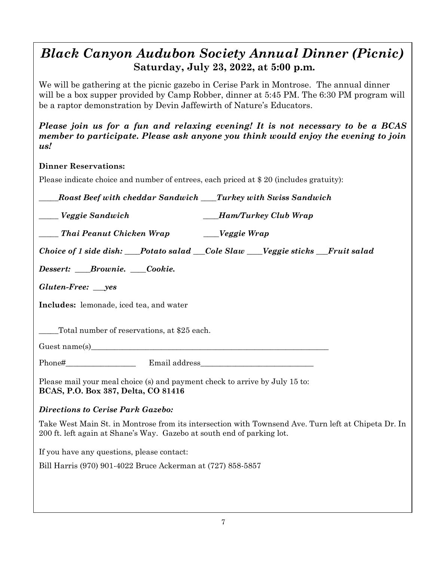# *Black Canyon Audubon Society Annual Dinner (Picnic)* **Saturday, July 23, 2022, at 5:00 p.m.**

We will be gathering at the picnic gazebo in Cerise Park in Montrose. The annual dinner will be a box supper provided by Camp Robber, dinner at 5:45 PM. The 6:30 PM program will be a raptor demonstration by Devin Jaffewirth of Nature's Educators.

*Please join us for a fun and relaxing evening! It is not necessary to be a BCAS member to participate. Please ask anyone you think would enjoy the evening to join us!*

# **Dinner Reservations:**

Please indicate choice and number of entrees, each priced at \$ 20 (includes gratuity):

*\_\_\_\_\_Roast Beef with cheddar Sandwich \_\_\_\_Turkey with Swiss Sandwich*

*\_\_\_\_\_ Veggie Sandwich \_\_\_\_Ham/Turkey Club Wrap*

*\_\_\_\_\_ Thai Peanut Chicken Wrap \_\_\_\_Veggie Wrap*

*Choice of 1 side dish: Potato salad Cole Slaw Veggie sticks Fruit salad* 

*Dessert: \_\_\_\_Brownie. \_\_\_\_Cookie.*

*Gluten-Free: \_\_\_yes*

**Includes:** lemonade, iced tea, and water

Total number of reservations, at \$25 each.

Guest name(s)

Phone# Email address

Please mail your meal choice (s) and payment check to arrive by July 15 to: **BCAS, P.O. Box 387, Delta, CO 81416**

### *Directions to Cerise Park Gazebo:*

Take West Main St. in Montrose from its intersection with Townsend Ave. Turn left at Chipeta Dr. In 200 ft. left again at Shane's Way. Gazebo at south end of parking lot.

If you have any questions, please contact:

Bill Harris (970) 901-4022 Bruce Ackerman at (727) 858-5857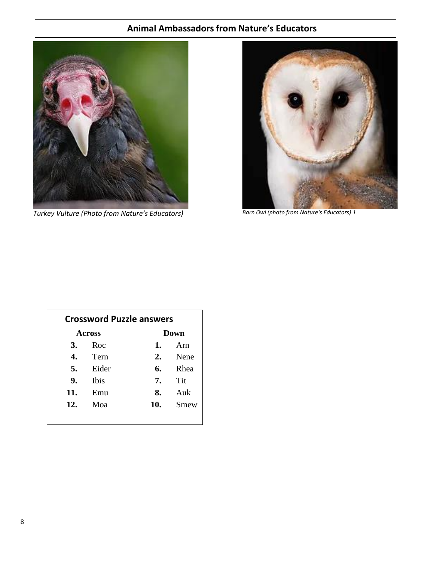# **Animal Ambassadors from Nature's Educators**



*Turkey Vulture (Photo from Nature's Educators) Barn Owl (photo from Nature's Educators) 1*



| <b>Crossword Puzzle answers</b> |                |     |      |  |
|---------------------------------|----------------|-----|------|--|
| Across                          |                |     | Down |  |
| 3.                              | Roc            | 1.  | Arn  |  |
| 4.                              | Tern           | 2.  | Nene |  |
| 5.                              | Eider          | 6.  | Rhea |  |
| 9.                              | Ibis           | 7.  | Tit  |  |
| 11.                             | $E_{\rm HIII}$ | 8.  | Auk  |  |
| 12.                             | Moa            | 10. | Smew |  |
|                                 |                |     |      |  |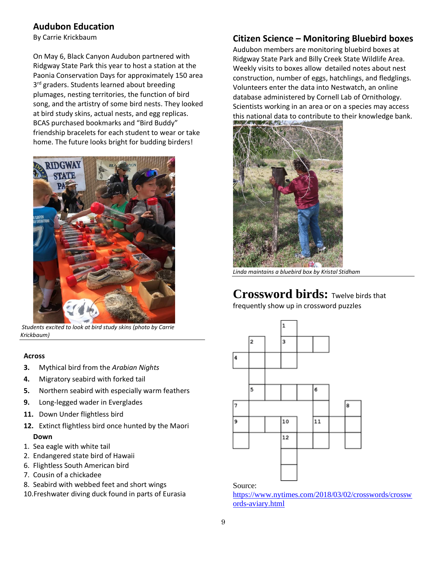# **Audubon Education**

By Carrie Krickbaum

On May 6, Black Canyon Audubon partnered with Ridgway State Park this year to host a station at the Paonia Conservation Days for approximately 150 area 3<sup>rd</sup> graders. Students learned about breeding plumages, nesting territories, the function of bird song, and the artistry of some bird nests. They looked at bird study skins, actual nests, and egg replicas. BCAS purchased bookmarks and "Bird Buddy" friendship bracelets for each student to wear or take home. The future looks bright for budding birders!



*Students excited to look at bird study skins (photo by Carrie Krickbaum)*

#### **Across**

- **3.** Mythical bird from the *Arabian Nights*
- **4.** Migratory seabird with forked tail
- **5.** Northern seabird with especially warm feathers
- **9.** Long-legged wader in Everglades
- **11.** Down Under flightless bird
- **12.** Extinct flightless bird once hunted by the Maori **Down**
- 1. Sea eagle with white tail
- 2. Endangered state bird of Hawaii
- 6. Flightless South American bird
- 7. Cousin of a chickadee
- 8. Seabird with webbed feet and short wings
- 10.Freshwater diving duck found in parts of Eurasia

# **Citizen Science – Monitoring Bluebird boxes**

Audubon members are monitoring bluebird boxes at Ridgway State Park and Billy Creek State Wildlife Area. Weekly visits to boxes allow detailed notes about nest construction, number of eggs, hatchlings, and fledglings. Volunteers enter the data into Nestwatch, an online database administered by Cornell Lab of Ornithology. Scientists working in an area or on a species may access this national data to contribute to their knowledge bank.



*Linda maintains a bluebird box by Kristal Stidham*

# Crossword birds: **Twelve birds** that

frequently show up in crossword puzzles



#### Source:

[https://www.nytimes.com/2018/03/02/crosswords/crossw](https://www.nytimes.com/2018/03/02/crosswords/crosswords-aviary.html) [ords-aviary.html](https://www.nytimes.com/2018/03/02/crosswords/crosswords-aviary.html)